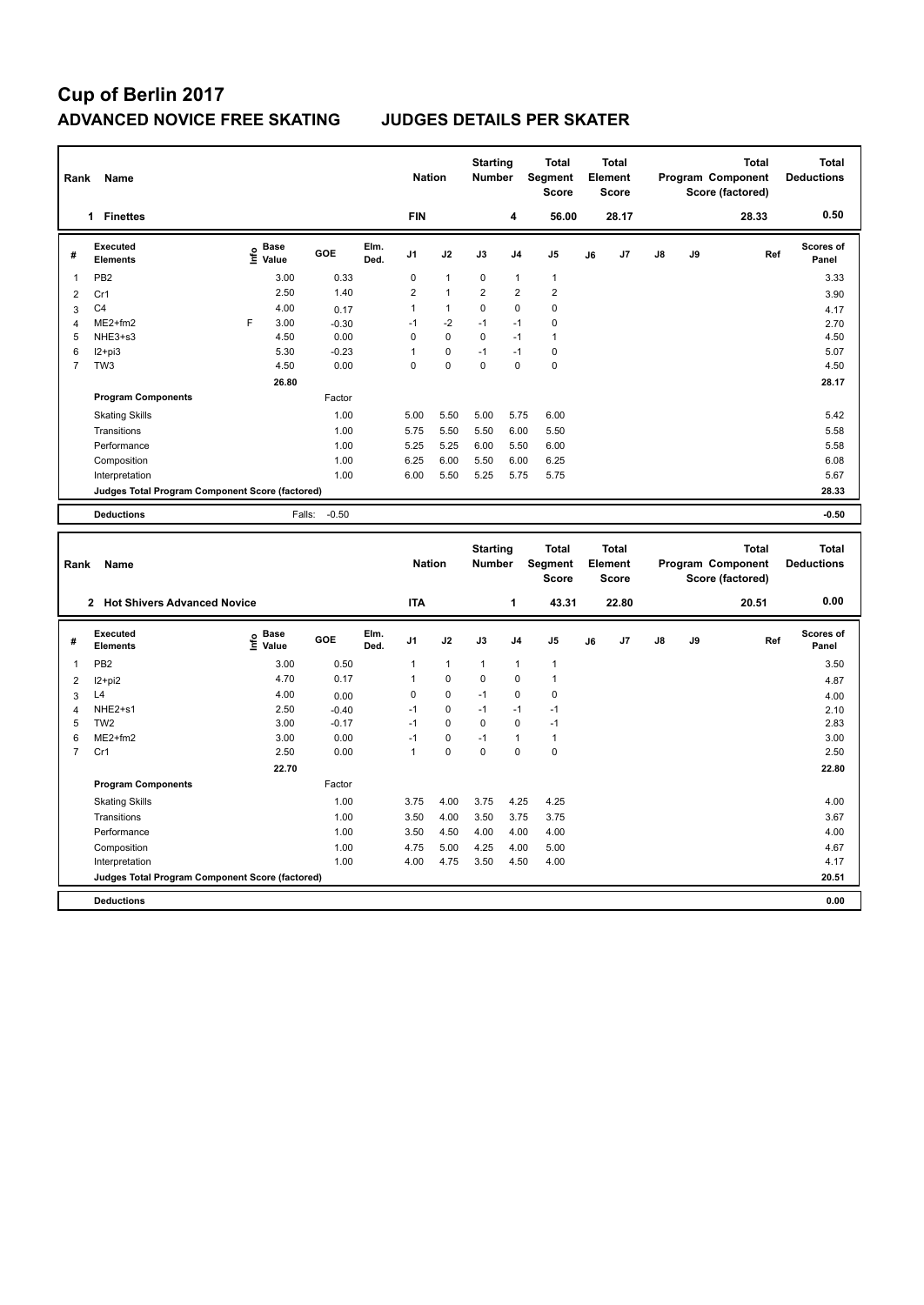# **Cup of Berlin 2017 ADVANCED NOVICE FREE SKATING JUDGES DETAILS PER SKATER**

| Rank<br>Name   |                                                 |    |                                  |         | <b>Nation</b> |                | <b>Starting</b><br><b>Number</b> |                                  | <b>Total</b><br>Segment<br><b>Score</b> | <b>Total</b><br>Element<br><b>Score</b> |    |                         |               | <b>Total</b><br>Program Component<br>Score (factored) | Total<br><b>Deductions</b>        |                                   |
|----------------|-------------------------------------------------|----|----------------------------------|---------|---------------|----------------|----------------------------------|----------------------------------|-----------------------------------------|-----------------------------------------|----|-------------------------|---------------|-------------------------------------------------------|-----------------------------------|-----------------------------------|
|                | <b>Finettes</b><br>1                            |    |                                  |         |               | <b>FIN</b>     |                                  |                                  | 4                                       | 56.00                                   |    | 28.17                   |               |                                                       | 28.33                             | 0.50                              |
| #              | Executed<br><b>Elements</b>                     |    | <b>Base</b><br>e Base<br>⊆ Value | GOE     | Elm.<br>Ded.  | J <sub>1</sub> | J2                               | J3                               | J <sub>4</sub>                          | J <sub>5</sub>                          | J6 | J7                      | $\mathsf{J}8$ | J9                                                    | Ref                               | Scores of<br>Panel                |
|                | PB <sub>2</sub>                                 |    | 3.00                             | 0.33    |               | $\Omega$       | $\mathbf{1}$                     | 0                                | $\mathbf{1}$                            | $\overline{1}$                          |    |                         |               |                                                       |                                   | 3.33                              |
| $\overline{2}$ | Cr1                                             |    | 2.50                             | 1.40    |               | $\overline{2}$ | $\mathbf{1}$                     | $\overline{2}$                   | $\overline{2}$                          | $\overline{2}$                          |    |                         |               |                                                       |                                   | 3.90                              |
| 3              | C <sub>4</sub>                                  |    | 4.00                             | 0.17    |               | 1              | $\mathbf{1}$                     | 0                                | 0                                       | 0                                       |    |                         |               |                                                       |                                   | 4.17                              |
| $\overline{4}$ | $ME2+fm2$                                       | F. | 3.00                             | $-0.30$ |               | $-1$           | $-2$                             | $-1$                             | $-1$                                    | $\mathbf 0$                             |    |                         |               |                                                       |                                   | 2.70                              |
| 5              | NHE3+s3                                         |    | 4.50                             | 0.00    |               | $\Omega$       | $\mathbf 0$                      | $\mathbf 0$                      | $-1$                                    | $\mathbf{1}$                            |    |                         |               |                                                       |                                   | 4.50                              |
| 6              | $12+pi3$                                        |    | 5.30                             | $-0.23$ |               | 1              | 0                                | $-1$                             | $-1$                                    | $\mathbf 0$                             |    |                         |               |                                                       |                                   | 5.07                              |
| $\overline{7}$ | TW <sub>3</sub>                                 |    | 4.50                             | 0.00    |               | $\Omega$       | 0                                | $\Omega$                         | $\Omega$                                | $\mathbf 0$                             |    |                         |               |                                                       |                                   | 4.50                              |
|                |                                                 |    | 26.80                            |         |               |                |                                  |                                  |                                         |                                         |    |                         |               |                                                       |                                   | 28.17                             |
|                | <b>Program Components</b>                       |    |                                  | Factor  |               |                |                                  |                                  |                                         |                                         |    |                         |               |                                                       |                                   |                                   |
|                | <b>Skating Skills</b>                           |    |                                  | 1.00    |               | 5.00           | 5.50                             | 5.00                             | 5.75                                    | 6.00                                    |    |                         |               |                                                       |                                   | 5.42                              |
|                | Transitions                                     |    |                                  | 1.00    |               | 5.75           | 5.50                             | 5.50                             | 6.00                                    | 5.50                                    |    |                         |               |                                                       |                                   | 5.58                              |
|                | Performance                                     |    |                                  | 1.00    |               | 5.25           | 5.25                             | 6.00                             | 5.50                                    | 6.00                                    |    |                         |               |                                                       |                                   | 5.58                              |
|                | Composition                                     |    |                                  | 1.00    |               | 6.25           | 6.00                             | 5.50                             | 6.00                                    | 6.25                                    |    |                         |               |                                                       |                                   | 6.08                              |
|                | Interpretation                                  |    |                                  | 1.00    |               | 6.00           | 5.50                             | 5.25                             | 5.75                                    | 5.75                                    |    |                         |               |                                                       |                                   | 5.67                              |
|                | Judges Total Program Component Score (factored) |    |                                  |         |               |                |                                  |                                  |                                         |                                         |    |                         |               |                                                       |                                   | 28.33                             |
|                | <b>Deductions</b>                               |    | Falls:                           | $-0.50$ |               |                |                                  |                                  |                                         |                                         |    |                         |               |                                                       |                                   | $-0.50$                           |
| Rank           | Name                                            |    |                                  |         |               | <b>Nation</b>  |                                  | <b>Starting</b><br><b>Number</b> |                                         | <b>Total</b><br>Segment                 |    | <b>Total</b><br>Element |               |                                                       | <b>Total</b><br>Program Component | <b>Total</b><br><b>Deductions</b> |

| Rank           | Name                                            |                                  |         |              | <b>Nation</b>  |                | <b>Number</b> |                | Segment<br><b>Score</b> |    | Element<br><b>Score</b> |               |    | Program Component<br>Score (factored) | <b>Deductions</b>         |
|----------------|-------------------------------------------------|----------------------------------|---------|--------------|----------------|----------------|---------------|----------------|-------------------------|----|-------------------------|---------------|----|---------------------------------------|---------------------------|
|                | 2 Hot Shivers Advanced Novice                   |                                  |         |              | <b>ITA</b>     |                |               | 1              | 43.31                   |    | 22.80                   |               |    | 20.51                                 | 0.00                      |
| #              | Executed<br><b>Elements</b>                     | <b>Base</b><br>e Base<br>⊆ Value | GOE     | Elm.<br>Ded. | J <sub>1</sub> | J2             | J3            | J <sub>4</sub> | J5                      | J6 | J7                      | $\mathsf{J}8$ | J9 | Ref                                   | <b>Scores of</b><br>Panel |
| 1              | PB <sub>2</sub>                                 | 3.00                             | 0.50    |              | 1              | $\overline{1}$ | $\mathbf{1}$  | $\mathbf{1}$   | $\mathbf{1}$            |    |                         |               |    |                                       | 3.50                      |
| $\overline{2}$ | $12+pi2$                                        | 4.70                             | 0.17    |              |                | $\mathbf 0$    | 0             | $\pmb{0}$      | 1                       |    |                         |               |    |                                       | 4.87                      |
| 3              | L4                                              | 4.00                             | 0.00    |              | 0              | $\mathbf 0$    | $-1$          | $\mathbf 0$    | $\pmb{0}$               |    |                         |               |    |                                       | 4.00                      |
| $\overline{4}$ | NHE2+s1                                         | 2.50                             | $-0.40$ |              | $-1$           | $\mathbf 0$    | $-1$          | $-1$           | $-1$                    |    |                         |               |    |                                       | 2.10                      |
| 5              | TW <sub>2</sub>                                 | 3.00                             | $-0.17$ |              | $-1$           | $\mathbf 0$    | 0             | 0              | $-1$                    |    |                         |               |    |                                       | 2.83                      |
| 6              | $ME2+fm2$                                       | 3.00                             | 0.00    |              | $-1$           | 0              | $-1$          | $\mathbf{1}$   | $\mathbf{1}$            |    |                         |               |    |                                       | 3.00                      |
| $\overline{7}$ | Cr1                                             | 2.50                             | 0.00    |              | 1              | $\mathbf 0$    | 0             | 0              | $\mathbf 0$             |    |                         |               |    |                                       | 2.50                      |
|                |                                                 | 22.70                            |         |              |                |                |               |                |                         |    |                         |               |    |                                       | 22.80                     |
|                | <b>Program Components</b>                       |                                  | Factor  |              |                |                |               |                |                         |    |                         |               |    |                                       |                           |
|                | <b>Skating Skills</b>                           |                                  | 1.00    |              | 3.75           | 4.00           | 3.75          | 4.25           | 4.25                    |    |                         |               |    |                                       | 4.00                      |
|                | Transitions                                     |                                  | 1.00    |              | 3.50           | 4.00           | 3.50          | 3.75           | 3.75                    |    |                         |               |    |                                       | 3.67                      |
|                | Performance                                     |                                  | 1.00    |              | 3.50           | 4.50           | 4.00          | 4.00           | 4.00                    |    |                         |               |    |                                       | 4.00                      |
|                | Composition                                     |                                  | 1.00    |              | 4.75           | 5.00           | 4.25          | 4.00           | 5.00                    |    |                         |               |    |                                       | 4.67                      |
|                | Interpretation                                  |                                  | 1.00    |              | 4.00           | 4.75           | 3.50          | 4.50           | 4.00                    |    |                         |               |    |                                       | 4.17                      |
|                | Judges Total Program Component Score (factored) |                                  |         |              |                |                |               |                |                         |    |                         |               |    |                                       | 20.51                     |
|                | <b>Deductions</b>                               |                                  |         |              |                |                |               |                |                         |    |                         |               |    |                                       | 0.00                      |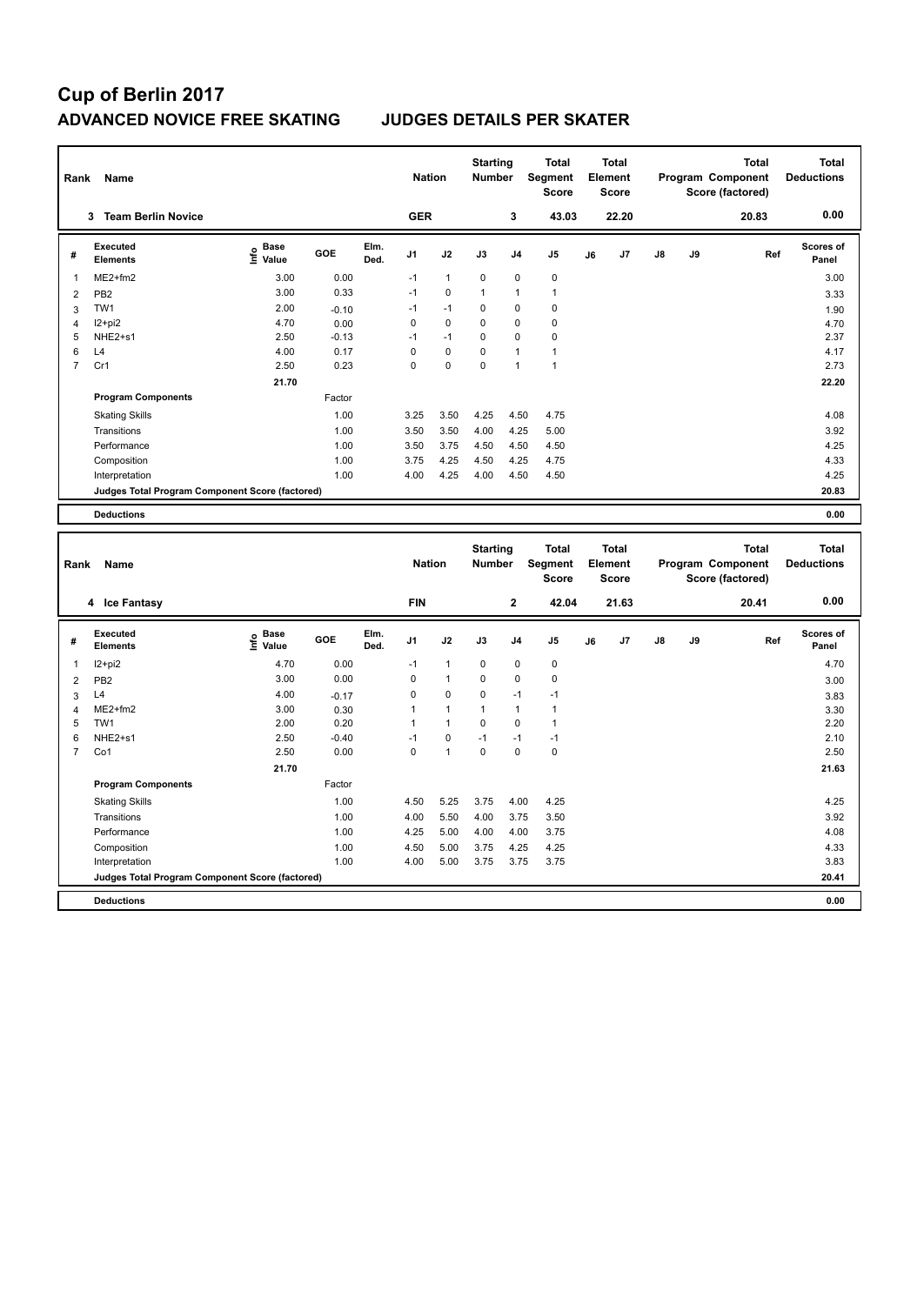# **Cup of Berlin 2017 ADVANCED NOVICE FREE SKATING JUDGES DETAILS PER SKATER**

| Rank           | Name                                            |                              |         |              | <b>Nation</b>  |              | <b>Starting</b><br><b>Number</b> |                | <b>Total</b><br>Segment<br><b>Score</b> | <b>Total</b><br>Element<br><b>Score</b> |       |               |    | <b>Total</b><br>Program Component<br>Score (factored) | <b>Total</b><br><b>Deductions</b> |
|----------------|-------------------------------------------------|------------------------------|---------|--------------|----------------|--------------|----------------------------------|----------------|-----------------------------------------|-----------------------------------------|-------|---------------|----|-------------------------------------------------------|-----------------------------------|
|                | <b>Team Berlin Novice</b><br>3                  |                              |         |              | <b>GER</b>     |              |                                  | 3              | 43.03                                   |                                         | 22.20 |               |    | 20.83                                                 | 0.00                              |
| #              | Executed<br><b>Elements</b>                     | <b>Base</b><br>١nfo<br>Value | GOE     | Elm.<br>Ded. | J <sub>1</sub> | J2           | J3                               | J <sub>4</sub> | J <sub>5</sub>                          | J6                                      | J7    | $\mathsf{J}8$ | J9 | Ref                                                   | <b>Scores of</b><br>Panel         |
| $\overline{1}$ | $ME2+fm2$                                       | 3.00                         | 0.00    |              | $-1$           | $\mathbf{1}$ | $\mathbf 0$                      | $\mathbf 0$    | $\pmb{0}$                               |                                         |       |               |    |                                                       | 3.00                              |
| $\overline{2}$ | PB <sub>2</sub>                                 | 3.00                         | 0.33    |              | $-1$           | $\mathbf 0$  | $\overline{1}$                   | $\overline{1}$ | $\mathbf{1}$                            |                                         |       |               |    |                                                       | 3.33                              |
| 3              | TW1                                             | 2.00                         | $-0.10$ |              | $-1$           | $-1$         | $\Omega$                         | $\mathbf 0$    | $\pmb{0}$                               |                                         |       |               |    |                                                       | 1.90                              |
| 4              | $12+pi2$                                        | 4.70                         | 0.00    |              | 0              | $\mathbf 0$  | $\mathbf 0$                      | $\mathbf 0$    | $\mathbf 0$                             |                                         |       |               |    |                                                       | 4.70                              |
| 5              | NHE2+s1                                         | 2.50                         | $-0.13$ |              | $-1$           | $-1$         | $\mathbf 0$                      | $\mathbf 0$    | $\pmb{0}$                               |                                         |       |               |    |                                                       | 2.37                              |
| 6              | L4                                              | 4.00                         | 0.17    |              | $\Omega$       | $\mathbf 0$  | $\mathbf 0$                      | $\overline{1}$ | $\mathbf{1}$                            |                                         |       |               |    |                                                       | 4.17                              |
| $\overline{7}$ | Cr1                                             | 2.50                         | 0.23    |              | 0              | $\mathbf 0$  | $\mathbf 0$                      | $\overline{1}$ | $\overline{1}$                          |                                         |       |               |    |                                                       | 2.73                              |
|                |                                                 | 21.70                        |         |              |                |              |                                  |                |                                         |                                         |       |               |    |                                                       | 22.20                             |
|                | <b>Program Components</b>                       |                              | Factor  |              |                |              |                                  |                |                                         |                                         |       |               |    |                                                       |                                   |
|                | <b>Skating Skills</b>                           |                              | 1.00    |              | 3.25           | 3.50         | 4.25                             | 4.50           | 4.75                                    |                                         |       |               |    |                                                       | 4.08                              |
|                | Transitions                                     |                              | 1.00    |              | 3.50           | 3.50         | 4.00                             | 4.25           | 5.00                                    |                                         |       |               |    |                                                       | 3.92                              |
|                | Performance                                     |                              | 1.00    |              | 3.50           | 3.75         | 4.50                             | 4.50           | 4.50                                    |                                         |       |               |    |                                                       | 4.25                              |
|                | Composition                                     |                              | 1.00    |              | 3.75           | 4.25         | 4.50                             | 4.25           | 4.75                                    |                                         |       |               |    |                                                       | 4.33                              |
|                | Interpretation                                  |                              | 1.00    |              | 4.00           | 4.25         | 4.00                             | 4.50           | 4.50                                    |                                         |       |               |    |                                                       | 4.25                              |
|                | Judges Total Program Component Score (factored) |                              |         |              |                |              |                                  |                |                                         |                                         |       |               |    |                                                       | 20.83                             |
|                | <b>Deductions</b>                               |                              |         |              |                |              |                                  |                |                                         |                                         |       |               |    |                                                       | 0.00                              |

|                         | Name<br>Rank                                    |                                  |         |              | <b>Nation</b>  |              | <b>Starting</b><br><b>Number</b> |                | <b>Total</b><br><b>Segment</b><br><b>Score</b> | <b>Total</b><br>Element<br><b>Score</b> |                | Program Component |    | <b>Total</b><br>Score (factored) | <b>Total</b><br><b>Deductions</b> |
|-------------------------|-------------------------------------------------|----------------------------------|---------|--------------|----------------|--------------|----------------------------------|----------------|------------------------------------------------|-----------------------------------------|----------------|-------------------|----|----------------------------------|-----------------------------------|
|                         | 4 Ice Fantasy                                   |                                  |         |              | <b>FIN</b>     |              |                                  | $\mathbf{2}$   | 42.04                                          |                                         | 21.63          |                   |    | 20.41                            | 0.00                              |
| #                       | Executed<br><b>Elements</b>                     | <b>Base</b><br>e Base<br>⊆ Value | GOE     | Elm.<br>Ded. | J <sub>1</sub> | J2           | J3                               | J <sub>4</sub> | J <sub>5</sub>                                 | J6                                      | J <sub>7</sub> | $\mathsf{J}8$     | J9 | Ref                              | <b>Scores of</b><br>Panel         |
| $\overline{\mathbf{1}}$ | $12+pi2$                                        | 4.70                             | 0.00    |              | $-1$           | $\mathbf{1}$ | $\mathbf 0$                      | $\mathbf 0$    | $\mathbf 0$                                    |                                         |                |                   |    |                                  | 4.70                              |
| $\overline{2}$          | PB <sub>2</sub>                                 | 3.00                             | 0.00    |              | 0              | $\mathbf{1}$ | 0                                | 0              | 0                                              |                                         |                |                   |    |                                  | 3.00                              |
| 3                       | L4                                              | 4.00                             | $-0.17$ |              | 0              | 0            | $\mathbf 0$                      | $-1$           | $-1$                                           |                                         |                |                   |    |                                  | 3.83                              |
| $\overline{4}$          | $ME2+fm2$                                       | 3.00                             | 0.30    |              | 1              | $\mathbf{1}$ | $\mathbf{1}$                     | $\mathbf{1}$   | $\overline{1}$                                 |                                         |                |                   |    |                                  | 3.30                              |
| 5                       | TW1                                             | 2.00                             | 0.20    |              | 1              | $\mathbf{1}$ | $\Omega$                         | 0              | $\overline{1}$                                 |                                         |                |                   |    |                                  | 2.20                              |
| 6                       | NHE2+s1                                         | 2.50                             | $-0.40$ |              | $-1$           | 0            | $-1$                             | $-1$           | $-1$                                           |                                         |                |                   |    |                                  | 2.10                              |
| $\overline{7}$          | Co1                                             | 2.50                             | 0.00    |              | 0              | $\mathbf{1}$ | 0                                | 0              | $\mathbf 0$                                    |                                         |                |                   |    |                                  | 2.50                              |
|                         |                                                 | 21.70                            |         |              |                |              |                                  |                |                                                |                                         |                |                   |    |                                  | 21.63                             |
|                         | <b>Program Components</b>                       |                                  | Factor  |              |                |              |                                  |                |                                                |                                         |                |                   |    |                                  |                                   |
|                         | <b>Skating Skills</b>                           |                                  | 1.00    |              | 4.50           | 5.25         | 3.75                             | 4.00           | 4.25                                           |                                         |                |                   |    |                                  | 4.25                              |
|                         | Transitions                                     |                                  | 1.00    |              | 4.00           | 5.50         | 4.00                             | 3.75           | 3.50                                           |                                         |                |                   |    |                                  | 3.92                              |
|                         | Performance                                     |                                  | 1.00    |              | 4.25           | 5.00         | 4.00                             | 4.00           | 3.75                                           |                                         |                |                   |    |                                  | 4.08                              |
|                         | Composition                                     |                                  | 1.00    |              | 4.50           | 5.00         | 3.75                             | 4.25           | 4.25                                           |                                         |                |                   |    |                                  | 4.33                              |
|                         | Interpretation                                  |                                  | 1.00    |              | 4.00           | 5.00         | 3.75                             | 3.75           | 3.75                                           |                                         |                |                   |    |                                  | 3.83                              |
|                         | Judges Total Program Component Score (factored) |                                  |         |              |                |              |                                  |                |                                                |                                         |                |                   |    |                                  | 20.41                             |
|                         | <b>Deductions</b>                               |                                  |         |              |                |              |                                  |                |                                                |                                         |                |                   |    |                                  | 0.00                              |